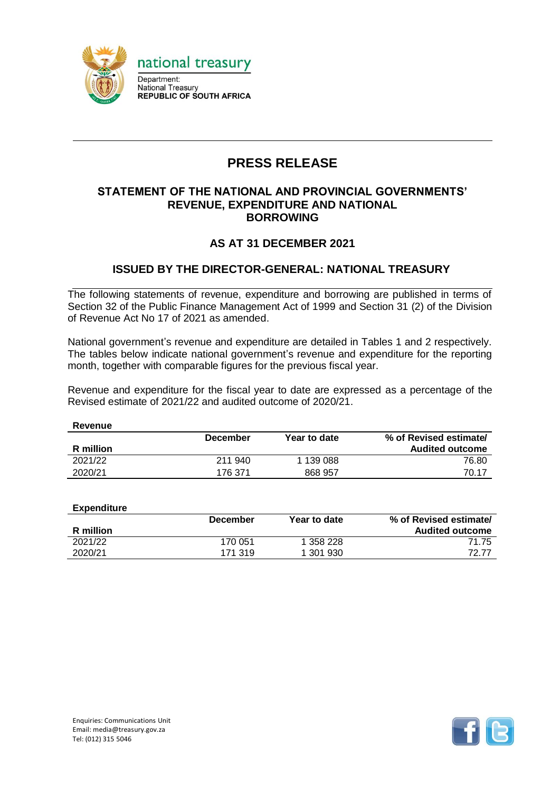

# **PRESS RELEASE**

#### **STATEMENT OF THE NATIONAL AND PROVINCIAL GOVERNMENTS' REVENUE, EXPENDITURE AND NATIONAL BORROWING**

### **AS AT 31 DECEMBER 2021**

### **ISSUED BY THE DIRECTOR-GENERAL: NATIONAL TREASURY**

The following statements of revenue, expenditure and borrowing are published in terms of Section 32 of the Public Finance Management Act of 1999 and Section 31 (2) of the Division of Revenue Act No 17 of 2021 as amended.

National government's revenue and expenditure are detailed in Tables 1 and 2 respectively. The tables below indicate national government's revenue and expenditure for the reporting month, together with comparable figures for the previous fiscal year.

Revenue and expenditure for the fiscal year to date are expressed as a percentage of the Revised estimate of 2021/22 and audited outcome of 2020/21.

| Revenue   |                 |              |                        |
|-----------|-----------------|--------------|------------------------|
|           | <b>December</b> | Year to date | % of Revised estimate/ |
| R million |                 |              | <b>Audited outcome</b> |
| 2021/22   | 211 940         | 1 139 088    | 76.80                  |
| 2020/21   | 176 371         | 868 957      | 70.17                  |

| Expenditure |                 |              |                        |
|-------------|-----------------|--------------|------------------------|
|             | <b>December</b> | Year to date | % of Revised estimate/ |
| R million   |                 |              | <b>Audited outcome</b> |
| 2021/22     | 170 051         | 1 358 228    | 71.75                  |
| 2020/21     | 171 319         | 1 301 930    | 72 77                  |